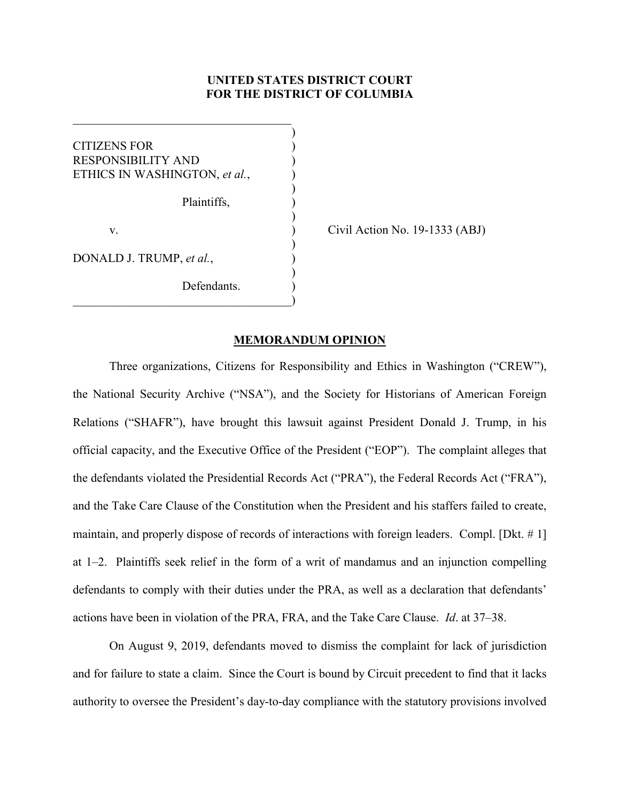# **UNITED STATES DISTRICT COURT FOR THE DISTRICT OF COLUMBIA**

)

)

)

)

)

CITIZENS FOR ) RESPONSIBILITY AND ) ETHICS IN WASHINGTON, *et al.*, ) Plaintiffs, ) v. ) Civil Action No. 19-1333 (ABJ) DONALD J. TRUMP, *et al.*, )

Defendants.

 $\hspace{.5em}$   $\hspace{.5em}$   $\hspace{.5em}$   $\hspace{.5em}$   $\hspace{.5em}$   $\hspace{.5em}$   $\hspace{.5em}$   $\hspace{.5em}$   $\hspace{.5em}$   $\hspace{.5em}$   $\hspace{.5em}$   $\hspace{.5em}$   $\hspace{.5em}$   $\hspace{.5em}$   $\hspace{.5em}$   $\hspace{.5em}$   $\hspace{.5em}$   $\hspace{.5em}$   $\hspace{.5em}$   $\hspace{.5em}$ 

 $\overline{\mathcal{L}}$  , and the state of the state of the state of the state of the state of the state of the state of the state of the state of the state of the state of the state of the state of the state of the state of the stat

#### **MEMORANDUM OPINION**

Three organizations, Citizens for Responsibility and Ethics in Washington ("CREW"), the National Security Archive ("NSA"), and the Society for Historians of American Foreign Relations ("SHAFR"), have brought this lawsuit against President Donald J. Trump, in his official capacity, and the Executive Office of the President ("EOP"). The complaint alleges that the defendants violated the Presidential Records Act ("PRA"), the Federal Records Act ("FRA"), and the Take Care Clause of the Constitution when the President and his staffers failed to create, maintain, and properly dispose of records of interactions with foreign leaders. Compl. [Dkt. # 1] at 1–2. Plaintiffs seek relief in the form of a writ of mandamus and an injunction compelling defendants to comply with their duties under the PRA, as well as a declaration that defendants' actions have been in violation of the PRA, FRA, and the Take Care Clause. *Id*. at 37–38.

On August 9, 2019, defendants moved to dismiss the complaint for lack of jurisdiction and for failure to state a claim. Since the Court is bound by Circuit precedent to find that it lacks authority to oversee the President's day-to-day compliance with the statutory provisions involved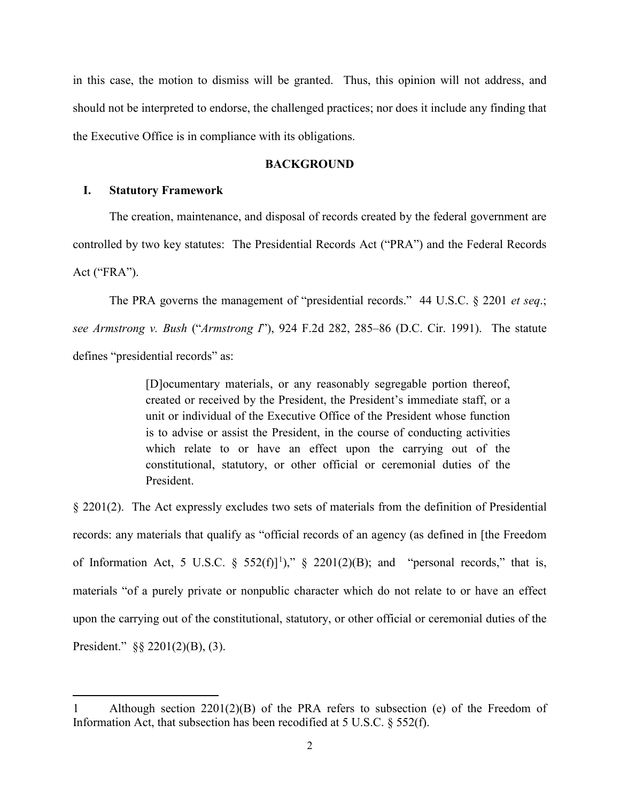in this case, the motion to dismiss will be granted. Thus, this opinion will not address, and should not be interpreted to endorse, the challenged practices; nor does it include any finding that the Executive Office is in compliance with its obligations.

## **BACKGROUND**

## **I. Statutory Framework**

l

The creation, maintenance, and disposal of records created by the federal government are controlled by two key statutes: The Presidential Records Act ("PRA") and the Federal Records Act ("FRA").

The PRA governs the management of "presidential records." 44 U.S.C. § 2201 *et seq*.; *see Armstrong v. Bush* ("*Armstrong I*"), 924 F.2d 282, 285–86 (D.C. Cir. 1991). The statute defines "presidential records" as:

> [D]ocumentary materials, or any reasonably segregable portion thereof, created or received by the President, the President's immediate staff, or a unit or individual of the Executive Office of the President whose function is to advise or assist the President, in the course of conducting activities which relate to or have an effect upon the carrying out of the constitutional, statutory, or other official or ceremonial duties of the President.

§ 2201(2). The Act expressly excludes two sets of materials from the definition of Presidential records: any materials that qualify as "official records of an agency (as defined in [the Freedom of Information Act, 5 U.S.C. §  $552(f)$ ]<sup>[1](#page-1-0)</sup>)," § 2201(2)(B); and "personal records," that is, materials "of a purely private or nonpublic character which do not relate to or have an effect upon the carrying out of the constitutional, statutory, or other official or ceremonial duties of the President." §§ 2201(2)(B), (3).

<span id="page-1-0"></span><sup>1</sup> Although section 2201(2)(B) of the PRA refers to subsection (e) of the Freedom of Information Act, that subsection has been recodified at 5 U.S.C. § 552(f).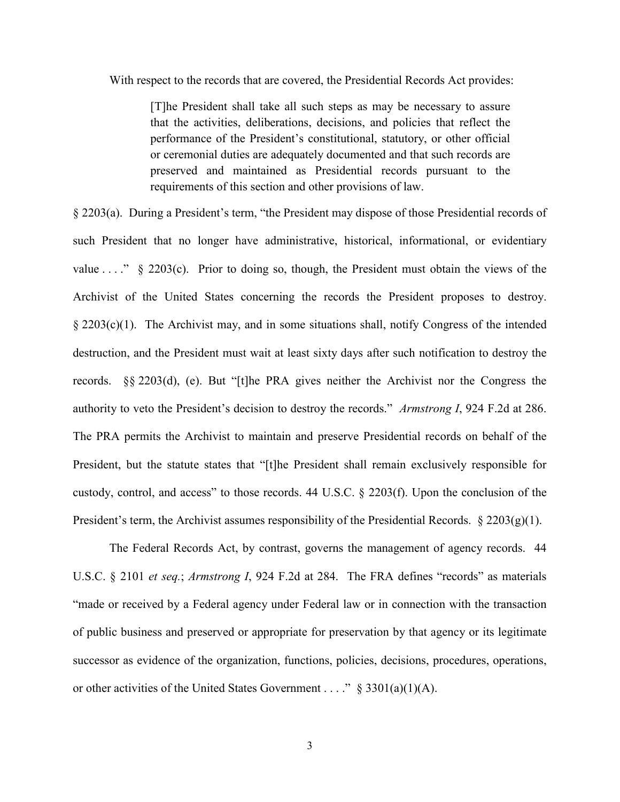With respect to the records that are covered, the Presidential Records Act provides:

[T]he President shall take all such steps as may be necessary to assure that the activities, deliberations, decisions, and policies that reflect the performance of the President's constitutional, statutory, or other official or ceremonial duties are adequately documented and that such records are preserved and maintained as Presidential records pursuant to the requirements of this section and other provisions of law.

§ 2203(a). During a President's term, "the President may dispose of those Presidential records of such President that no longer have administrative, historical, informational, or evidentiary value  $\dots$ ." § 2203(c). Prior to doing so, though, the President must obtain the views of the Archivist of the United States concerning the records the President proposes to destroy. § 2203(c)(1). The Archivist may, and in some situations shall, notify Congress of the intended destruction, and the President must wait at least sixty days after such notification to destroy the records. §§ 2203(d), (e). But "[t]he PRA gives neither the Archivist nor the Congress the authority to veto the President's decision to destroy the records." *Armstrong I*, 924 F.2d at 286. The PRA permits the Archivist to maintain and preserve Presidential records on behalf of the President, but the statute states that "[t]he President shall remain exclusively responsible for custody, control, and access" to those records. 44 U.S.C. § 2203(f). Upon the conclusion of the President's term, the Archivist assumes responsibility of the Presidential Records.  $\S 2203(g)(1)$ .

The Federal Records Act, by contrast, governs the management of agency records. 44 U.S.C. § 2101 *et seq.*; *Armstrong I*, 924 F.2d at 284. The FRA defines "records" as materials "made or received by a Federal agency under Federal law or in connection with the transaction of public business and preserved or appropriate for preservation by that agency or its legitimate successor as evidence of the organization, functions, policies, decisions, procedures, operations, or other activities of the United States Government . . . ." § 3301(a)(1)(A).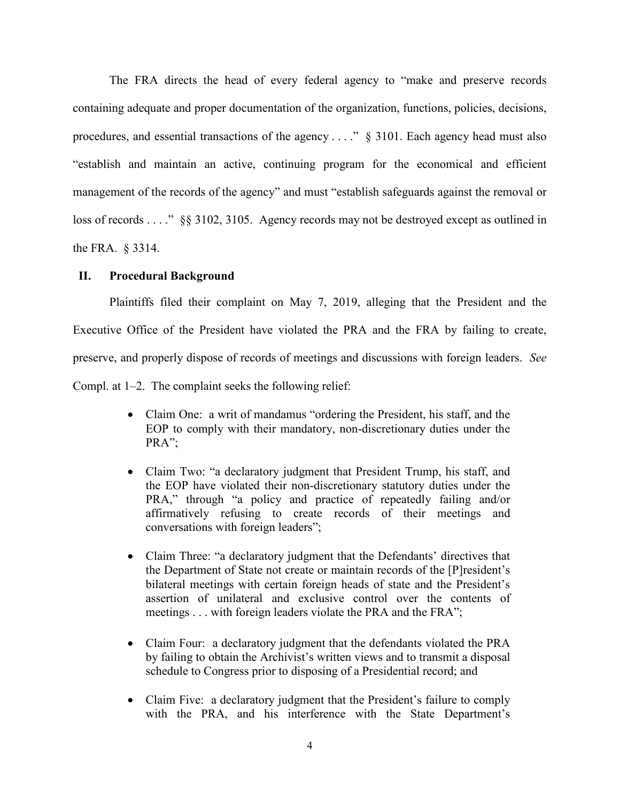The FRA directs the head of every federal agency to "make and preserve records containing adequate and proper documentation of the organization, functions, policies, decisions, procedures, and essential transactions of the agency  $\dots$   $\frac{8}{9}$  3101. Each agency head must also "establish and maintain an active, continuing program for the economical and efficient management of the records of the agency" and must "establish safeguards against the removal or loss of records . . . ." §§ 3102, 3105. Agency records may not be destroyed except as outlined in the FRA. § 3314.

## **II. Procedural Background**

Plaintiffs filed their complaint on May 7, 2019, alleging that the President and the Executive Office of the President have violated the PRA and the FRA by failing to create, preserve, and properly dispose of records of meetings and discussions with foreign leaders. *See* Compl. at 1–2. The complaint seeks the following relief:

- Claim One: a writ of mandamus "ordering the President, his staff, and the EOP to comply with their mandatory, non-discretionary duties under the PRA";
- Claim Two: "a declaratory judgment that President Trump, his staff, and the EOP have violated their non-discretionary statutory duties under the PRA," through "a policy and practice of repeatedly failing and/or affirmatively refusing to create records of their meetings and conversations with foreign leaders";
- Claim Three: "a declaratory judgment that the Defendants' directives that the Department of State not create or maintain records of the [P]resident's bilateral meetings with certain foreign heads of state and the President's assertion of unilateral and exclusive control over the contents of meetings . . . with foreign leaders violate the PRA and the FRA";
- Claim Four: a declaratory judgment that the defendants violated the PRA by failing to obtain the Archivist's written views and to transmit a disposal schedule to Congress prior to disposing of a Presidential record; and
- Claim Five: a declaratory judgment that the President's failure to comply with the PRA, and his interference with the State Department's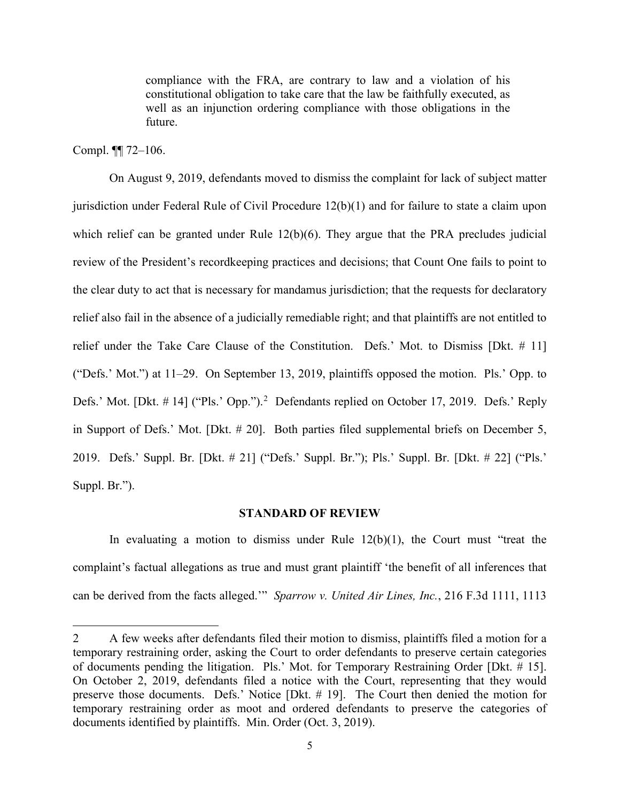compliance with the FRA, are contrary to law and a violation of his constitutional obligation to take care that the law be faithfully executed, as well as an injunction ordering compliance with those obligations in the future.

Compl. ¶¶ 72–106.

l

On August 9, 2019, defendants moved to dismiss the complaint for lack of subject matter jurisdiction under Federal Rule of Civil Procedure 12(b)(1) and for failure to state a claim upon which relief can be granted under Rule 12(b)(6). They argue that the PRA precludes judicial review of the President's recordkeeping practices and decisions; that Count One fails to point to the clear duty to act that is necessary for mandamus jurisdiction; that the requests for declaratory relief also fail in the absence of a judicially remediable right; and that plaintiffs are not entitled to relief under the Take Care Clause of the Constitution. Defs.' Mot. to Dismiss [Dkt. # 11] ("Defs.' Mot.") at 11–29. On September 13, 2019, plaintiffs opposed the motion. Pls.' Opp. to Defs.' Mot. [Dkt. # 14] ("Pls.' Opp.").<sup>[2](#page-4-0)</sup> Defendants replied on October 17, 2019. Defs.' Reply in Support of Defs.' Mot. [Dkt. # 20]. Both parties filed supplemental briefs on December 5, 2019. Defs.' Suppl. Br. [Dkt. # 21] ("Defs.' Suppl. Br."); Pls.' Suppl. Br. [Dkt. # 22] ("Pls.' Suppl. Br.").

#### **STANDARD OF REVIEW**

In evaluating a motion to dismiss under Rule  $12(b)(1)$ , the Court must "treat the complaint's factual allegations as true and must grant plaintiff 'the benefit of all inferences that can be derived from the facts alleged.'" *Sparrow v. United Air Lines, Inc.*, 216 F.3d 1111, 1113

<span id="page-4-0"></span><sup>2</sup> A few weeks after defendants filed their motion to dismiss, plaintiffs filed a motion for a temporary restraining order, asking the Court to order defendants to preserve certain categories of documents pending the litigation. Pls.' Mot. for Temporary Restraining Order [Dkt. # 15]. On October 2, 2019, defendants filed a notice with the Court, representing that they would preserve those documents. Defs.' Notice [Dkt. # 19]. The Court then denied the motion for temporary restraining order as moot and ordered defendants to preserve the categories of documents identified by plaintiffs. Min. Order (Oct. 3, 2019).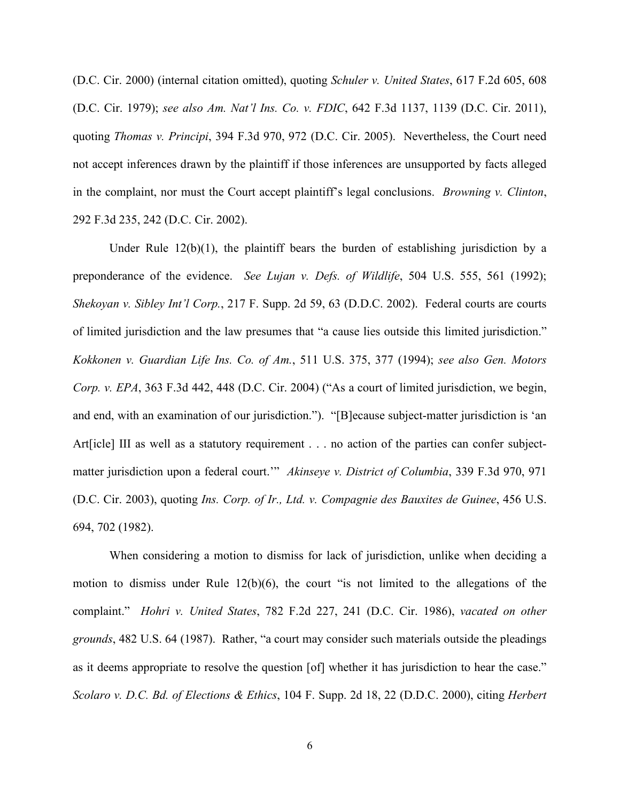(D.C. Cir. 2000) (internal citation omitted), quoting *Schuler v. United States*, 617 F.2d 605, 608 (D.C. Cir. 1979); *see also Am. Nat'l Ins. Co. v. FDIC*, 642 F.3d 1137, 1139 (D.C. Cir. 2011), quoting *Thomas v. Principi*, 394 F.3d 970, 972 (D.C. Cir. 2005). Nevertheless, the Court need not accept inferences drawn by the plaintiff if those inferences are unsupported by facts alleged in the complaint, nor must the Court accept plaintiff's legal conclusions. *Browning v. Clinton*, 292 F.3d 235, 242 (D.C. Cir. 2002).

Under Rule  $12(b)(1)$ , the plaintiff bears the burden of establishing jurisdiction by a preponderance of the evidence. *See Lujan v. Defs. of Wildlife*, 504 U.S. 555, 561 (1992); *Shekoyan v. Sibley Int'l Corp.*, 217 F. Supp. 2d 59, 63 (D.D.C. 2002). Federal courts are courts of limited jurisdiction and the law presumes that "a cause lies outside this limited jurisdiction." *Kokkonen v. Guardian Life Ins. Co. of Am.*, 511 U.S. 375, 377 (1994); *see also Gen. Motors Corp. v. EPA*, 363 F.3d 442, 448 (D.C. Cir. 2004) ("As a court of limited jurisdiction, we begin, and end, with an examination of our jurisdiction."). "[B]ecause subject-matter jurisdiction is 'an Art [icle] III as well as a statutory requirement . . . no action of the parties can confer subjectmatter jurisdiction upon a federal court.'" *Akinseye v. District of Columbia*, 339 F.3d 970, 971 (D.C. Cir. 2003), quoting *Ins. Corp. of Ir., Ltd. v. Compagnie des Bauxites de Guinee*, 456 U.S. 694, 702 (1982).

When considering a motion to dismiss for lack of jurisdiction, unlike when deciding a motion to dismiss under Rule 12(b)(6), the court "is not limited to the allegations of the complaint." *Hohri v. United States*, 782 F.2d 227, 241 (D.C. Cir. 1986), *vacated on other grounds*, 482 U.S. 64 (1987). Rather, "a court may consider such materials outside the pleadings as it deems appropriate to resolve the question [of] whether it has jurisdiction to hear the case." *Scolaro v. D.C. Bd. of Elections & Ethics*, 104 F. Supp. 2d 18, 22 (D.D.C. 2000), citing *Herbert*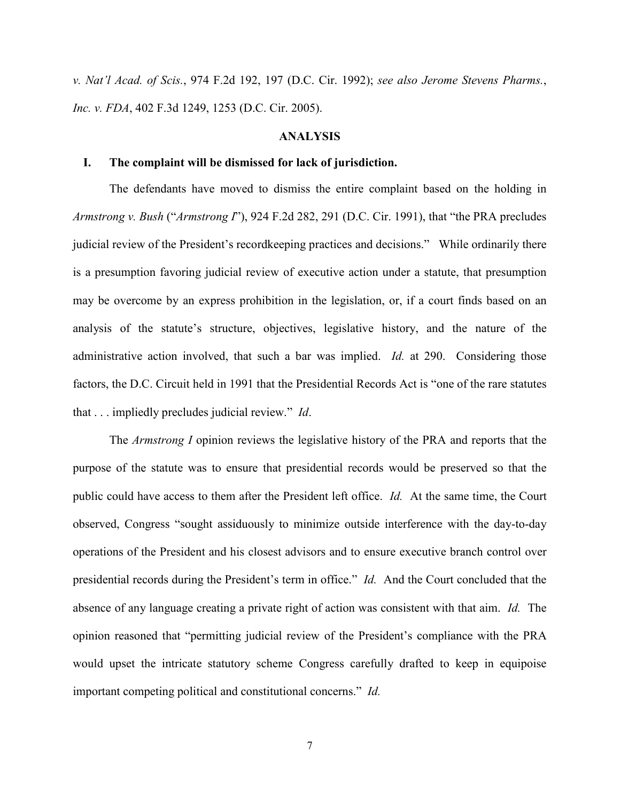*v. Nat'l Acad. of Scis.*, 974 F.2d 192, 197 (D.C. Cir. 1992); *see also Jerome Stevens Pharms.*, *Inc. v. FDA*, 402 F.3d 1249, 1253 (D.C. Cir. 2005).

## **ANALYSIS**

## **I. The complaint will be dismissed for lack of jurisdiction.**

The defendants have moved to dismiss the entire complaint based on the holding in *Armstrong v. Bush* ("*Armstrong I*"), 924 F.2d 282, 291 (D.C. Cir. 1991), that "the PRA precludes judicial review of the President's recordkeeping practices and decisions." While ordinarily there is a presumption favoring judicial review of executive action under a statute, that presumption may be overcome by an express prohibition in the legislation, or, if a court finds based on an analysis of the statute's structure, objectives, legislative history, and the nature of the administrative action involved, that such a bar was implied. *Id.* at 290. Considering those factors, the D.C. Circuit held in 1991 that the Presidential Records Act is "one of the rare statutes that . . . impliedly precludes judicial review." *Id*.

The *Armstrong I* opinion reviews the legislative history of the PRA and reports that the purpose of the statute was to ensure that presidential records would be preserved so that the public could have access to them after the President left office. *Id.* At the same time, the Court observed, Congress "sought assiduously to minimize outside interference with the day-to-day operations of the President and his closest advisors and to ensure executive branch control over presidential records during the President's term in office." *Id.* And the Court concluded that the absence of any language creating a private right of action was consistent with that aim. *Id.* The opinion reasoned that "permitting judicial review of the President's compliance with the PRA would upset the intricate statutory scheme Congress carefully drafted to keep in equipoise important competing political and constitutional concerns." *Id.*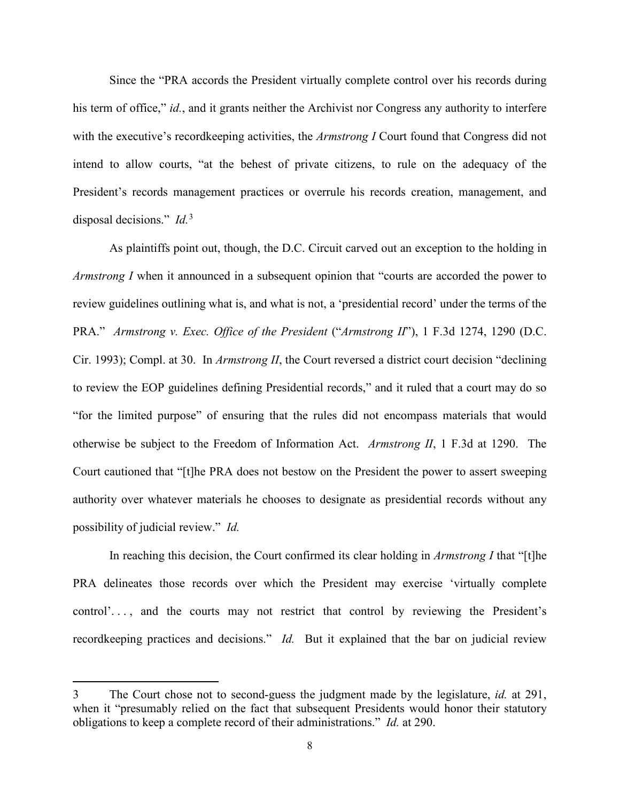Since the "PRA accords the President virtually complete control over his records during his term of office," *id.*, and it grants neither the Archivist nor Congress any authority to interfere with the executive's recordkeeping activities, the *Armstrong I* Court found that Congress did not intend to allow courts, "at the behest of private citizens, to rule on the adequacy of the President's records management practices or overrule his records creation, management, and disposal decisions." *Id.*[3](#page-7-0)

As plaintiffs point out, though, the D.C. Circuit carved out an exception to the holding in *Armstrong I* when it announced in a subsequent opinion that "courts are accorded the power to review guidelines outlining what is, and what is not, a 'presidential record' under the terms of the PRA." *Armstrong v. Exec. Office of the President* ("*Armstrong II*"), 1 F.3d 1274, 1290 (D.C. Cir. 1993); Compl. at 30. In *Armstrong II*, the Court reversed a district court decision "declining to review the EOP guidelines defining Presidential records," and it ruled that a court may do so "for the limited purpose" of ensuring that the rules did not encompass materials that would otherwise be subject to the Freedom of Information Act. *Armstrong II*, 1 F.3d at 1290. The Court cautioned that "[t]he PRA does not bestow on the President the power to assert sweeping authority over whatever materials he chooses to designate as presidential records without any possibility of judicial review." *Id.*

In reaching this decision, the Court confirmed its clear holding in *Armstrong I* that "[t]he PRA delineates those records over which the President may exercise 'virtually complete control'..., and the courts may not restrict that control by reviewing the President's recordkeeping practices and decisions." *Id.* But it explained that the bar on judicial review

<span id="page-7-0"></span><sup>3</sup> The Court chose not to second-guess the judgment made by the legislature, *id.* at 291, when it "presumably relied on the fact that subsequent Presidents would honor their statutory obligations to keep a complete record of their administrations." *Id.* at 290.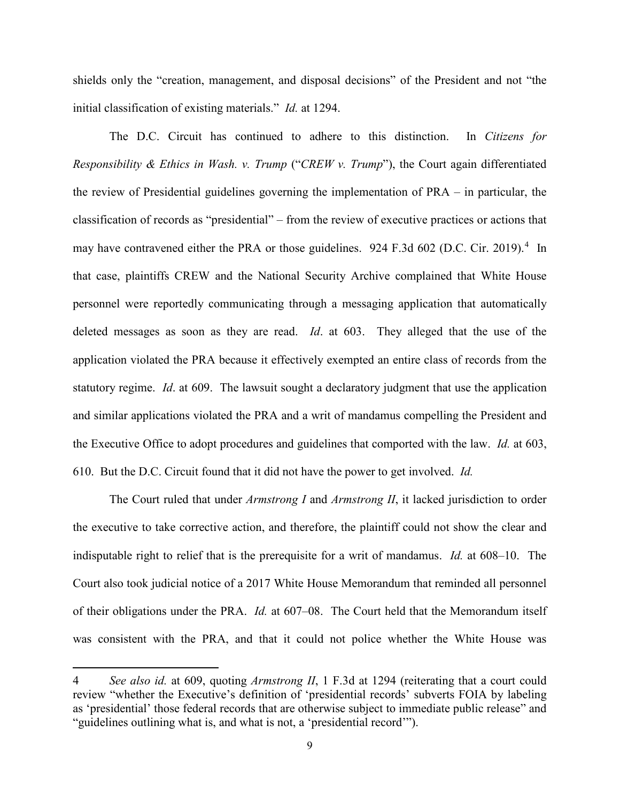shields only the "creation, management, and disposal decisions" of the President and not "the initial classification of existing materials." *Id.* at 1294.

The D.C. Circuit has continued to adhere to this distinction. In *Citizens for Responsibility & Ethics in Wash. v. Trump* ("*CREW v. Trump*"), the Court again differentiated the review of Presidential guidelines governing the implementation of PRA – in particular, the classification of records as "presidential" – from the review of executive practices or actions that may have contravened either the PRA or those guidelines. 92[4](#page-8-0) F.3d 602 (D.C. Cir. 2019).<sup>4</sup> In that case, plaintiffs CREW and the National Security Archive complained that White House personnel were reportedly communicating through a messaging application that automatically deleted messages as soon as they are read. *Id*. at 603. They alleged that the use of the application violated the PRA because it effectively exempted an entire class of records from the statutory regime. *Id*. at 609. The lawsuit sought a declaratory judgment that use the application and similar applications violated the PRA and a writ of mandamus compelling the President and the Executive Office to adopt procedures and guidelines that comported with the law. *Id.* at 603, 610. But the D.C. Circuit found that it did not have the power to get involved. *Id.*

The Court ruled that under *Armstrong I* and *Armstrong II*, it lacked jurisdiction to order the executive to take corrective action, and therefore, the plaintiff could not show the clear and indisputable right to relief that is the prerequisite for a writ of mandamus. *Id.* at 608–10. The Court also took judicial notice of a 2017 White House Memorandum that reminded all personnel of their obligations under the PRA. *Id.* at 607–08. The Court held that the Memorandum itself was consistent with the PRA, and that it could not police whether the White House was

<span id="page-8-0"></span><sup>4</sup> *See also id.* at 609, quoting *Armstrong II*, 1 F.3d at 1294 (reiterating that a court could review "whether the Executive's definition of 'presidential records' subverts FOIA by labeling as 'presidential' those federal records that are otherwise subject to immediate public release" and "guidelines outlining what is, and what is not, a 'presidential record'").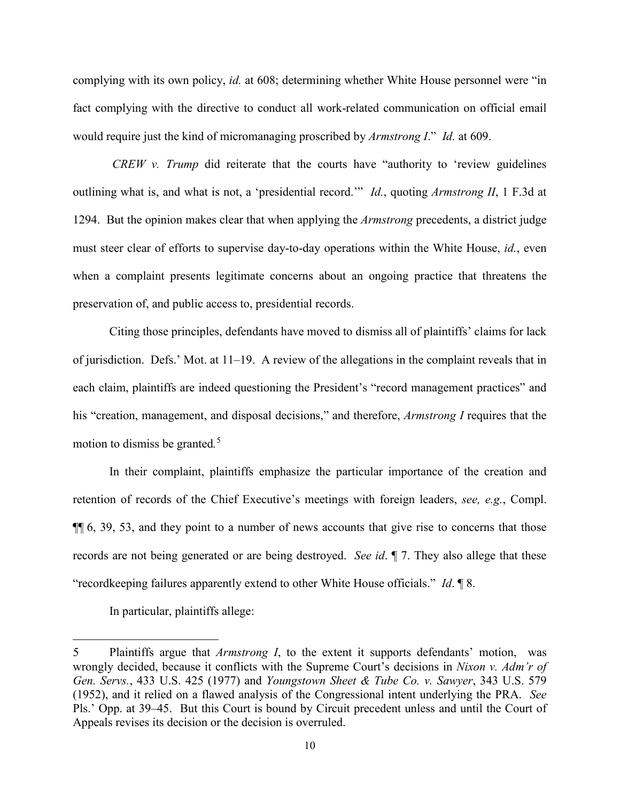complying with its own policy, *id.* at 608; determining whether White House personnel were "in fact complying with the directive to conduct all work-related communication on official email would require just the kind of micromanaging proscribed by *[Armstrong I](https://1.next.westlaw.com/Link/Document/FullText?findType=Y&serNum=1991028624&pubNum=0000350&originatingDoc=Ie43e2af0815a11e998e8870e22e55653&refType=RP&originationContext=document&transitionType=DocumentItem&contextData=(sc.UserEnteredCitation))*." *Id.* at 609.

*CREW v. Trump* did reiterate that the courts have "authority to 'review guidelines outlining what is, and what is not, a 'presidential record.'" *Id.*, quoting *Armstrong II*, 1 F.3d at 1294. But the opinion makes clear that when applying the *Armstrong* precedents, a district judge must steer clear of efforts to supervise day-to-day operations within the White House, *id.*, even when a complaint presents legitimate concerns about an ongoing practice that threatens the preservation of, and public access to, presidential records.

Citing those principles, defendants have moved to dismiss all of plaintiffs' claims for lack of jurisdiction. Defs.' Mot. at 11–19. A review of the allegations in the complaint reveals that in each claim, plaintiffs are indeed questioning the President's "record management practices" and his "creation, management, and disposal decisions," and therefore, *Armstrong I* requires that the motion to dismiss be granted*.* [5](#page-9-0)

In their complaint, plaintiffs emphasize the particular importance of the creation and retention of records of the Chief Executive's meetings with foreign leaders, *see, e.g.*, Compl. ¶¶ 6, 39, 53, and they point to a number of news accounts that give rise to concerns that those records are not being generated or are being destroyed. *See id*. ¶ 7. They also allege that these "recordkeeping failures apparently extend to other White House officials." *Id*. ¶ 8.

In particular, plaintiffs allege:

<span id="page-9-0"></span><sup>5</sup> Plaintiffs argue that *Armstrong I*, to the extent it supports defendants' motion, was wrongly decided, because it conflicts with the Supreme Court's decisions in *Nixon v. Adm'r of Gen. Servs.*, 433 U.S. 425 (1977) and *Youngstown Sheet & Tube Co. v. Sawyer*, 343 U.S. 579 (1952), and it relied on a flawed analysis of the Congressional intent underlying the PRA. *See* Pls.' Opp. at 39–45. But this Court is bound by Circuit precedent unless and until the Court of Appeals revises its decision or the decision is overruled.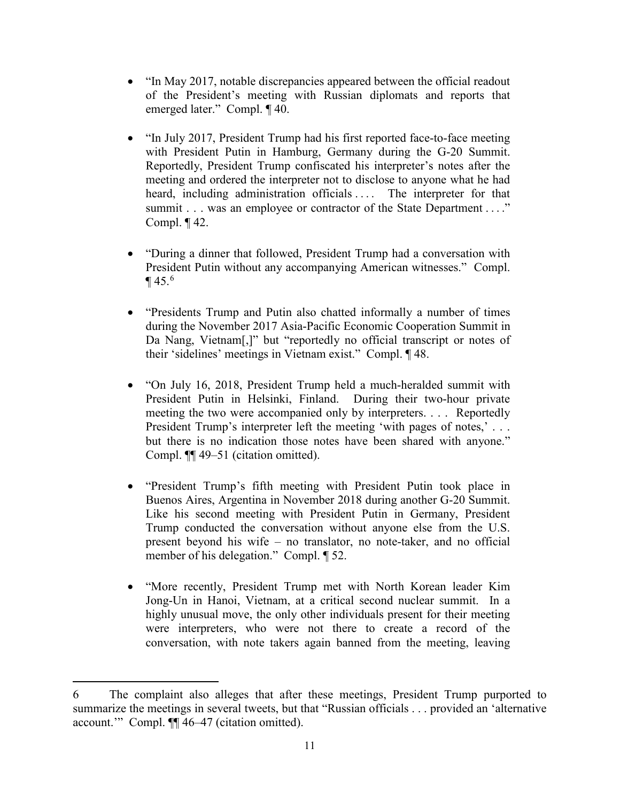- "In May 2017, notable discrepancies appeared between the official readout of the President's meeting with Russian diplomats and reports that emerged later." Compl. ¶ 40.
- "In July 2017, President Trump had his first reported face-to-face meeting with President Putin in Hamburg, Germany during the G-20 Summit. Reportedly, President Trump confiscated his interpreter's notes after the meeting and ordered the interpreter not to disclose to anyone what he had heard, including administration officials .... The interpreter for that summit . . . was an employee or contractor of the State Department . . . " Compl. ¶ 42.
- "During a dinner that followed, President Trump had a conversation with President Putin without any accompanying American witnesses." Compl.  $\P$  45.<sup>[6](#page-10-0)</sup>
- "Presidents Trump and Putin also chatted informally a number of times during the November 2017 Asia-Pacific Economic Cooperation Summit in Da Nang, Vietnam[,]" but "reportedly no official transcript or notes of their 'sidelines' meetings in Vietnam exist." Compl. ¶ 48.
- "On July 16, 2018, President Trump held a much-heralded summit with President Putin in Helsinki, Finland. During their two-hour private meeting the two were accompanied only by interpreters. . . . Reportedly President Trump's interpreter left the meeting 'with pages of notes,'... but there is no indication those notes have been shared with anyone." Compl. ¶¶ 49–51 (citation omitted).
- "President Trump's fifth meeting with President Putin took place in Buenos Aires, Argentina in November 2018 during another G-20 Summit. Like his second meeting with President Putin in Germany, President Trump conducted the conversation without anyone else from the U.S. present beyond his wife – no translator, no note-taker, and no official member of his delegation." Compl. ¶ 52.
- "More recently, President Trump met with North Korean leader Kim Jong-Un in Hanoi, Vietnam, at a critical second nuclear summit. In a highly unusual move, the only other individuals present for their meeting were interpreters, who were not there to create a record of the conversation, with note takers again banned from the meeting, leaving

<span id="page-10-0"></span><sup>6</sup> The complaint also alleges that after these meetings, President Trump purported to summarize the meetings in several tweets, but that "Russian officials . . . provided an 'alternative account.'" Compl. ¶¶ 46–47 (citation omitted).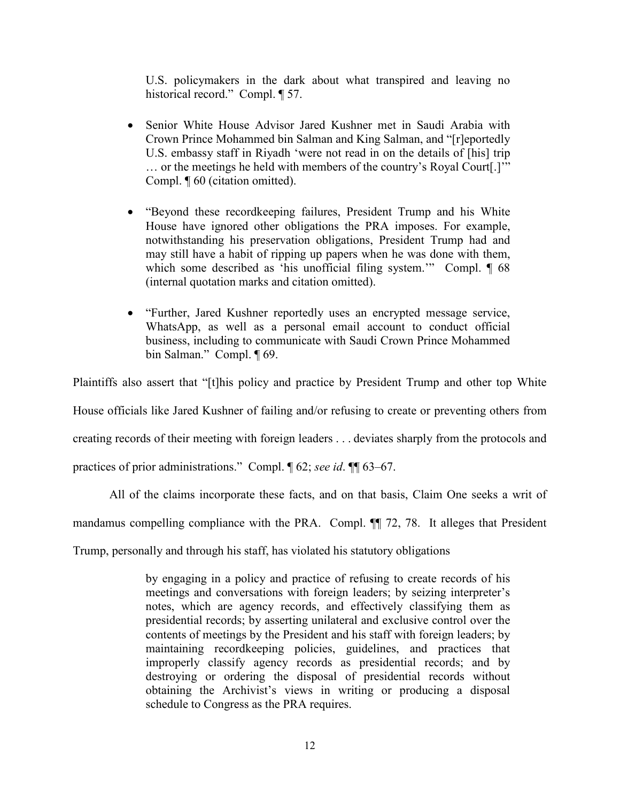U.S. policymakers in the dark about what transpired and leaving no historical record." Compl. ¶ 57.

- Senior White House Advisor Jared Kushner met in Saudi Arabia with Crown Prince Mohammed bin Salman and King Salman, and "[r]eportedly U.S. embassy staff in Riyadh 'were not read in on the details of [his] trip … or the meetings he held with members of the country's Royal Court[.]'" Compl. ¶ 60 (citation omitted).
- "Beyond these recordkeeping failures, President Trump and his White House have ignored other obligations the PRA imposes. For example, notwithstanding his preservation obligations, President Trump had and may still have a habit of ripping up papers when he was done with them, which some described as 'his unofficial filing system.'" Compl.  $\P$  68 (internal quotation marks and citation omitted).
- "Further, Jared Kushner reportedly uses an encrypted message service, WhatsApp, as well as a personal email account to conduct official business, including to communicate with Saudi Crown Prince Mohammed bin Salman." Compl. ¶ 69.

Plaintiffs also assert that "[t]his policy and practice by President Trump and other top White

House officials like Jared Kushner of failing and/or refusing to create or preventing others from

creating records of their meeting with foreign leaders . . . deviates sharply from the protocols and

practices of prior administrations." Compl. ¶ 62; *see id*. ¶¶ 63–67.

All of the claims incorporate these facts, and on that basis, Claim One seeks a writ of

mandamus compelling compliance with the PRA. Compl. ¶¶ 72, 78. It alleges that President

Trump, personally and through his staff, has violated his statutory obligations

by engaging in a policy and practice of refusing to create records of his meetings and conversations with foreign leaders; by seizing interpreter's notes, which are agency records, and effectively classifying them as presidential records; by asserting unilateral and exclusive control over the contents of meetings by the President and his staff with foreign leaders; by maintaining recordkeeping policies, guidelines, and practices that improperly classify agency records as presidential records; and by destroying or ordering the disposal of presidential records without obtaining the Archivist's views in writing or producing a disposal schedule to Congress as the PRA requires.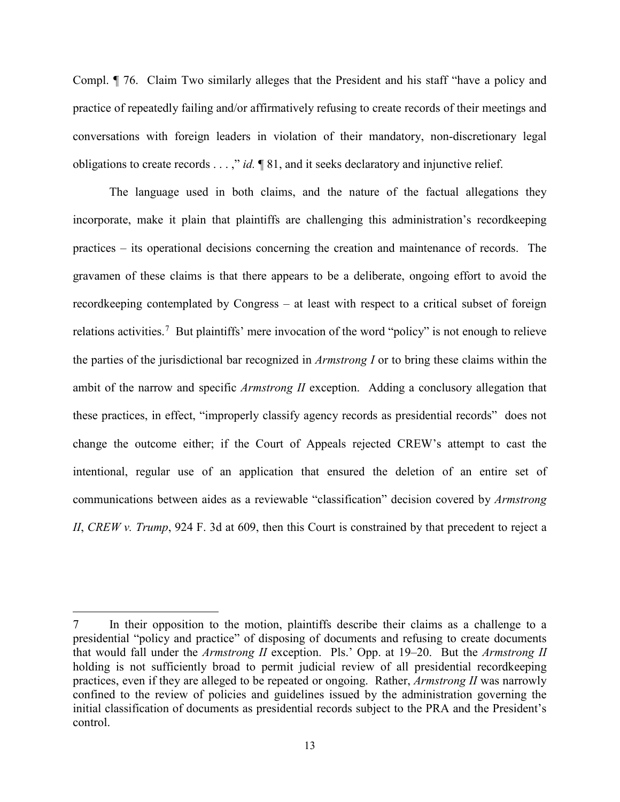Compl. ¶ 76. Claim Two similarly alleges that the President and his staff "have a policy and practice of repeatedly failing and/or affirmatively refusing to create records of their meetings and conversations with foreign leaders in violation of their mandatory, non-discretionary legal obligations to create records . . . ," *id.* ¶ 81, and it seeks declaratory and injunctive relief.

The language used in both claims, and the nature of the factual allegations they incorporate, make it plain that plaintiffs are challenging this administration's recordkeeping practices – its operational decisions concerning the creation and maintenance of records. The gravamen of these claims is that there appears to be a deliberate, ongoing effort to avoid the recordkeeping contemplated by Congress – at least with respect to a critical subset of foreign relations activities.<sup>[7](#page-12-0)</sup> But plaintiffs' mere invocation of the word "policy" is not enough to relieve the parties of the jurisdictional bar recognized in *Armstrong I* or to bring these claims within the ambit of the narrow and specific *Armstrong II* exception. Adding a conclusory allegation that these practices, in effect, "improperly classify agency records as presidential records" does not change the outcome either; if the Court of Appeals rejected CREW's attempt to cast the intentional, regular use of an application that ensured the deletion of an entire set of communications between aides as a reviewable "classification" decision covered by *Armstrong II*, *CREW v. Trump*, 924 F. 3d at 609, then this Court is constrained by that precedent to reject a

<span id="page-12-0"></span><sup>7</sup> In their opposition to the motion, plaintiffs describe their claims as a challenge to a presidential "policy and practice" of disposing of documents and refusing to create documents that would fall under the *Armstrong II* exception. Pls.' Opp. at 19–20. But the *Armstrong II*  holding is not sufficiently broad to permit judicial review of all presidential recordkeeping practices, even if they are alleged to be repeated or ongoing. Rather, *Armstrong II* was narrowly confined to the review of policies and guidelines issued by the administration governing the initial classification of documents as presidential records subject to the PRA and the President's control.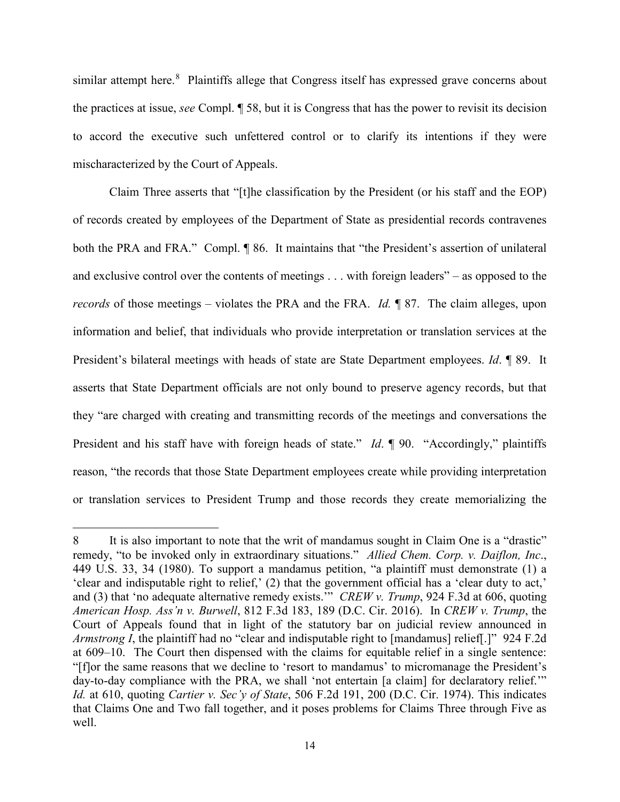similar attempt here.<sup>[8](#page-13-0)</sup> Plaintiffs allege that Congress itself has expressed grave concerns about the practices at issue, *see* Compl. ¶ 58, but it is Congress that has the power to revisit its decision to accord the executive such unfettered control or to clarify its intentions if they were mischaracterized by the Court of Appeals.

Claim Three asserts that "[t]he classification by the President (or his staff and the EOP) of records created by employees of the Department of State as presidential records contravenes both the PRA and FRA." Compl. ¶ 86. It maintains that "the President's assertion of unilateral and exclusive control over the contents of meetings . . . with foreign leaders" – as opposed to the *records* of those meetings – violates the PRA and the FRA. *Id.* ¶ 87. The claim alleges, upon information and belief, that individuals who provide interpretation or translation services at the President's bilateral meetings with heads of state are State Department employees. *Id*. ¶ 89. It asserts that State Department officials are not only bound to preserve agency records, but that they "are charged with creating and transmitting records of the meetings and conversations the President and his staff have with foreign heads of state." *Id*. ¶ 90. "Accordingly," plaintiffs reason, "the records that those State Department employees create while providing interpretation or translation services to President Trump and those records they create memorializing the

<span id="page-13-0"></span><sup>8</sup> It is also important to note that the writ of mandamus sought in Claim One is a "drastic" remedy, "to be invoked only in extraordinary situations." *Allied Chem. Corp. v. Daiflon, Inc*., 449 U.S. 33, 34 (1980). To support a mandamus petition, "a plaintiff must demonstrate (1) a 'clear and indisputable right to relief,' (2) that the government official has a 'clear duty to act,' and (3) that 'no adequate alternative remedy exists.'" *CREW v. Trump*, 924 F.3d at 606, quoting *American Hosp. Ass'n v. Burwell*, 812 F.3d 183, 189 (D.C. Cir. 2016). In *CREW v. Trump*, the Court of Appeals found that in light of the statutory bar on judicial review announced in *Armstrong I*, the plaintiff had no "clear and indisputable right to [mandamus] relief[.]" 924 F.2d at 609–10. The Court then dispensed with the claims for equitable relief in a single sentence: "[f]or the same reasons that we decline to 'resort to mandamus' to micromanage the President's day-to-day compliance with the PRA, we shall 'not entertain [a claim] for declaratory relief." *Id.* at 610, quoting *Cartier v. Sec'y of State*, 506 F.2d 191, 200 (D.C. Cir. 1974). This indicates that Claims One and Two fall together, and it poses problems for Claims Three through Five as well.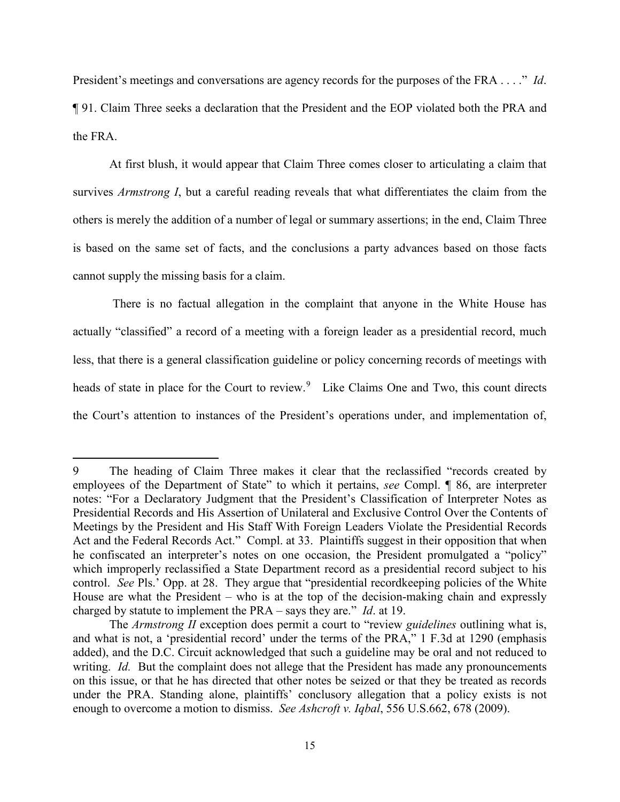President's meetings and conversations are agency records for the purposes of the FRA . . . ." *Id*. ¶ 91. Claim Three seeks a declaration that the President and the EOP violated both the PRA and the FRA.

At first blush, it would appear that Claim Three comes closer to articulating a claim that survives *Armstrong I*, but a careful reading reveals that what differentiates the claim from the others is merely the addition of a number of legal or summary assertions; in the end, Claim Three is based on the same set of facts, and the conclusions a party advances based on those facts cannot supply the missing basis for a claim.

There is no factual allegation in the complaint that anyone in the White House has actually "classified" a record of a meeting with a foreign leader as a presidential record, much less, that there is a general classification guideline or policy concerning records of meetings with heads of state in place for the Court to review.<sup>[9](#page-14-0)</sup> Like Claims One and Two, this count directs the Court's attention to instances of the President's operations under, and implementation of,

<span id="page-14-0"></span><sup>9</sup> The heading of Claim Three makes it clear that the reclassified "records created by employees of the Department of State" to which it pertains, *see* Compl. ¶ 86, are interpreter notes: "For a Declaratory Judgment that the President's Classification of Interpreter Notes as Presidential Records and His Assertion of Unilateral and Exclusive Control Over the Contents of Meetings by the President and His Staff With Foreign Leaders Violate the Presidential Records Act and the Federal Records Act." Compl. at 33. Plaintiffs suggest in their opposition that when he confiscated an interpreter's notes on one occasion, the President promulgated a "policy" which improperly reclassified a State Department record as a presidential record subject to his control. *See* Pls.' Opp. at 28. They argue that "presidential recordkeeping policies of the White House are what the President – who is at the top of the decision-making chain and expressly charged by statute to implement the PRA – says they are." *Id*. at 19.

The *Armstrong II* exception does permit a court to "review *guidelines* outlining what is, and what is not, a 'presidential record' under the terms of the PRA," 1 F.3d at 1290 (emphasis added), and the D.C. Circuit acknowledged that such a guideline may be oral and not reduced to writing. *Id.* But the complaint does not allege that the President has made any pronouncements on this issue, or that he has directed that other notes be seized or that they be treated as records under the PRA. Standing alone, plaintiffs' conclusory allegation that a policy exists is not enough to overcome a motion to dismiss. *See Ashcroft v. Iqbal*, 556 U.S.662, 678 (2009).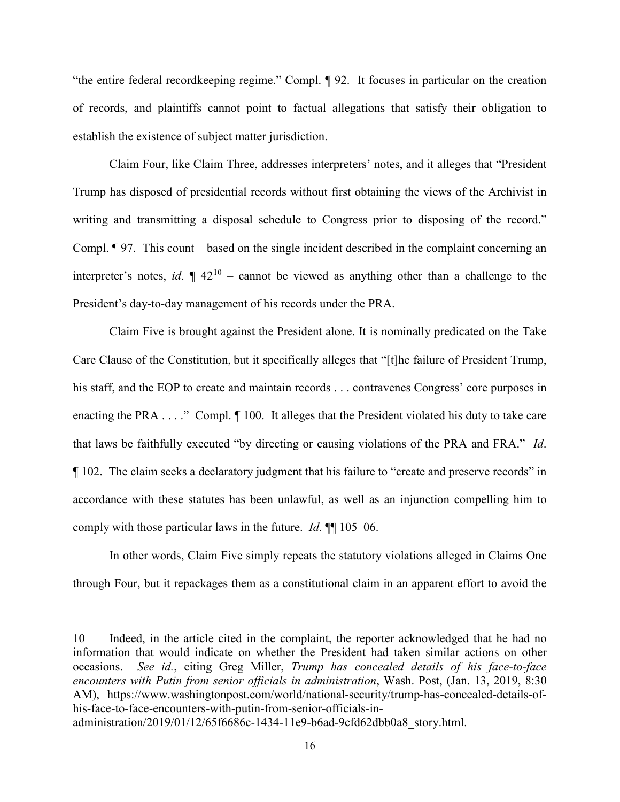"the entire federal recordkeeping regime." Compl. ¶ 92. It focuses in particular on the creation of records, and plaintiffs cannot point to factual allegations that satisfy their obligation to establish the existence of subject matter jurisdiction.

Claim Four, like Claim Three, addresses interpreters' notes, and it alleges that "President Trump has disposed of presidential records without first obtaining the views of the Archivist in writing and transmitting a disposal schedule to Congress prior to disposing of the record." Compl. ¶ 97. This count – based on the single incident described in the complaint concerning an interpreter's notes, *id*.  $\P$  42<sup>[10](#page-15-0)</sup> – cannot be viewed as anything other than a challenge to the President's day-to-day management of his records under the PRA.

Claim Five is brought against the President alone. It is nominally predicated on the Take Care Clause of the Constitution, but it specifically alleges that "[t]he failure of President Trump, his staff, and the EOP to create and maintain records . . . contravenes Congress' core purposes in enacting the PRA . . . ." Compl.  $\P$  100. It alleges that the President violated his duty to take care that laws be faithfully executed "by directing or causing violations of the PRA and FRA." *Id*. ¶ 102. The claim seeks a declaratory judgment that his failure to "create and preserve records" in accordance with these statutes has been unlawful, as well as an injunction compelling him to comply with those particular laws in the future. *Id.* ¶¶ 105–06.

In other words, Claim Five simply repeats the statutory violations alleged in Claims One through Four, but it repackages them as a constitutional claim in an apparent effort to avoid the

<span id="page-15-0"></span><sup>10</sup> Indeed, in the article cited in the complaint, the reporter acknowledged that he had no information that would indicate on whether the President had taken similar actions on other occasions. *See id.*, citing Greg Miller, *Trump has concealed details of his face-to-face encounters with Putin from senior officials in administration*, Wash. Post, (Jan. 13, 2019, 8:30 AM), [https://www.washingtonpost.com/world/national-security/trump-has-concealed-details-of](https://www.washingtonpost.com/world/national-security/trump-has-concealed-details-of-his-face-to-face-encounters-with-putin-from-senior-officials-in-administration/2019/01/12/65f6686c-1434-11e9-b6ad-9cfd62dbb0a8_story.html)[his-face-to-face-encounters-with-putin-from-senior-officials-in](https://www.washingtonpost.com/world/national-security/trump-has-concealed-details-of-his-face-to-face-encounters-with-putin-from-senior-officials-in-administration/2019/01/12/65f6686c-1434-11e9-b6ad-9cfd62dbb0a8_story.html)[administration/2019/01/12/65f6686c-1434-11e9-b6ad-9cfd62dbb0a8\\_story.html.](https://www.washingtonpost.com/world/national-security/trump-has-concealed-details-of-his-face-to-face-encounters-with-putin-from-senior-officials-in-administration/2019/01/12/65f6686c-1434-11e9-b6ad-9cfd62dbb0a8_story.html)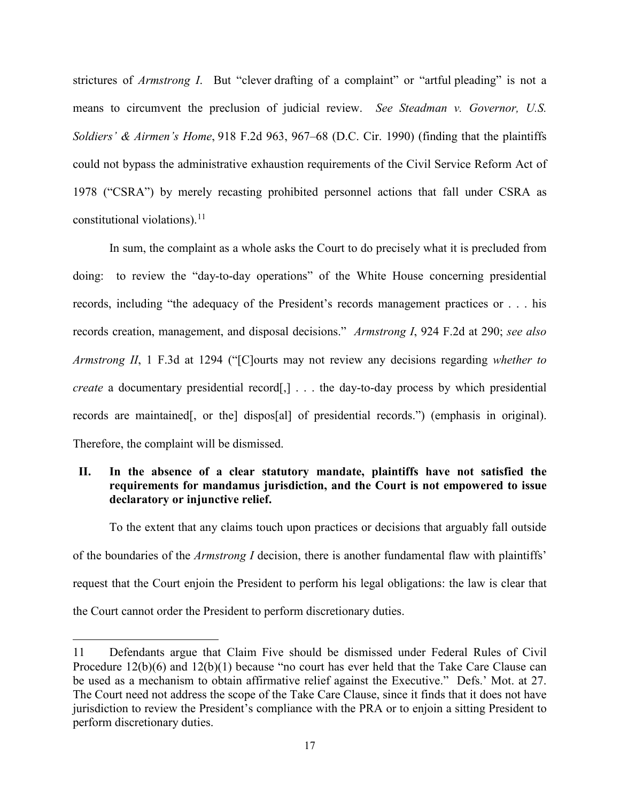strictures of *Armstrong I*. But "clever drafting of a complaint" or "artful pleading" is not a means to circumvent the preclusion of judicial review. *See Steadman v. Governor, U.S. Soldiers' & Airmen's Home*, 918 F.2d 963, 967–68 (D.C. Cir. 1990) (finding that the plaintiffs could not bypass the administrative exhaustion requirements of the Civil Service Reform Act of 1978 ("CSRA") by merely recasting prohibited personnel actions that fall under CSRA as constitutional violations). [11](#page-16-0)

In sum, the complaint as a whole asks the Court to do precisely what it is precluded from doing: to review the "day-to-day operations" of the White House concerning presidential records, including "the adequacy of the President's records management practices or . . . his records creation, management, and disposal decisions." *Armstrong I*, 924 F.2d at 290; *see also Armstrong II*, 1 F.3d at 1294 ("[C]ourts may not review any decisions regarding *whether to create* a documentary presidential record<sup>[,]</sup> . . . the day-to-day process by which presidential records are maintained[, or the] dispos[al] of presidential records.") (emphasis in original). Therefore, the complaint will be dismissed.

# **II. In the absence of a clear statutory mandate, plaintiffs have not satisfied the requirements for mandamus jurisdiction, and the Court is not empowered to issue declaratory or injunctive relief.**

To the extent that any claims touch upon practices or decisions that arguably fall outside of the boundaries of the *Armstrong I* decision, there is another fundamental flaw with plaintiffs' request that the Court enjoin the President to perform his legal obligations: the law is clear that the Court cannot order the President to perform discretionary duties.

<span id="page-16-0"></span><sup>11</sup> Defendants argue that Claim Five should be dismissed under Federal Rules of Civil Procedure 12(b)(6) and 12(b)(1) because "no court has ever held that the Take Care Clause can be used as a mechanism to obtain affirmative relief against the Executive." Defs.' Mot. at 27. The Court need not address the scope of the Take Care Clause, since it finds that it does not have jurisdiction to review the President's compliance with the PRA or to enjoin a sitting President to perform discretionary duties.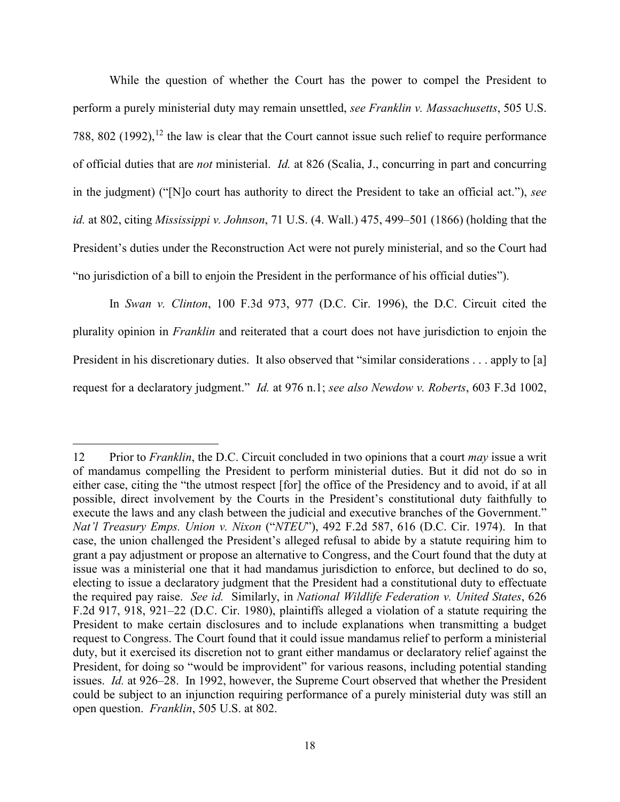While the question of whether the Court has the power to compel the President to perform a purely ministerial duty may remain unsettled, *see Franklin v. Massachusetts*, 505 U.S. 788, 802  $(1992)$ ,  $^{12}$  $^{12}$  $^{12}$  the law is clear that the Court cannot issue such relief to require performance of official duties that are *not* ministerial. *Id.* at 826 (Scalia, J., concurring in part and concurring in the judgment) ("[N]o court has authority to direct the President to take an official act."), *see id.* at 802, citing *Mississippi v. Johnson*, 71 U.S. (4. Wall.) 475, 499–501 (1866) (holding that the President's duties under the Reconstruction Act were not purely ministerial, and so the Court had "no jurisdiction of a bill to enjoin the President in the performance of his official duties").

In *Swan v. Clinton*, 100 F.3d 973, 977 (D.C. Cir. 1996), the D.C. Circuit cited the plurality opinion in *Franklin* and reiterated that a court does not have jurisdiction to enjoin the President in his discretionary duties. It also observed that "similar considerations . . . apply to [a] request for a declaratory judgment." *Id.* at 976 n.1; *see also Newdow v. Roberts*, 603 F.3d 1002,

 $\overline{a}$ 

<span id="page-17-0"></span><sup>12</sup> Prior to *Franklin*, the D.C. Circuit concluded in two opinions that a court *may* issue a writ of mandamus compelling the President to perform ministerial duties. But it did not do so in either case, citing the "the utmost respect [for] the office of the Presidency and to avoid, if at all possible, direct involvement by the Courts in the President's constitutional duty faithfully to execute the laws and any clash between the judicial and executive branches of the Government." *Nat'l Treasury Emps. Union v. Nixon* ("*NTEU*"), 492 F.2d 587, 616 (D.C. Cir. 1974). In that case, the union challenged the President's alleged refusal to abide by a statute requiring him to grant a pay adjustment or propose an alternative to Congress, and the Court found that the duty at issue was a ministerial one that it had mandamus jurisdiction to enforce, but declined to do so, electing to issue a declaratory judgment that the President had a constitutional duty to effectuate the required pay raise. *See id.* Similarly, in *National Wildlife Federation v. United States*, 626 F.2d 917, 918, 921–22 (D.C. Cir. 1980), plaintiffs alleged a violation of a statute requiring the President to make certain disclosures and to include explanations when transmitting a budget request to Congress. The Court found that it could issue mandamus relief to perform a ministerial duty, but it exercised its discretion not to grant either mandamus or declaratory relief against the President, for doing so "would be improvident" for various reasons, including potential standing issues. *Id.* at 926–28. In 1992, however, the Supreme Court observed that whether the President could be subject to an injunction requiring performance of a purely ministerial duty was still an open question. *Franklin*, 505 U.S. at 802.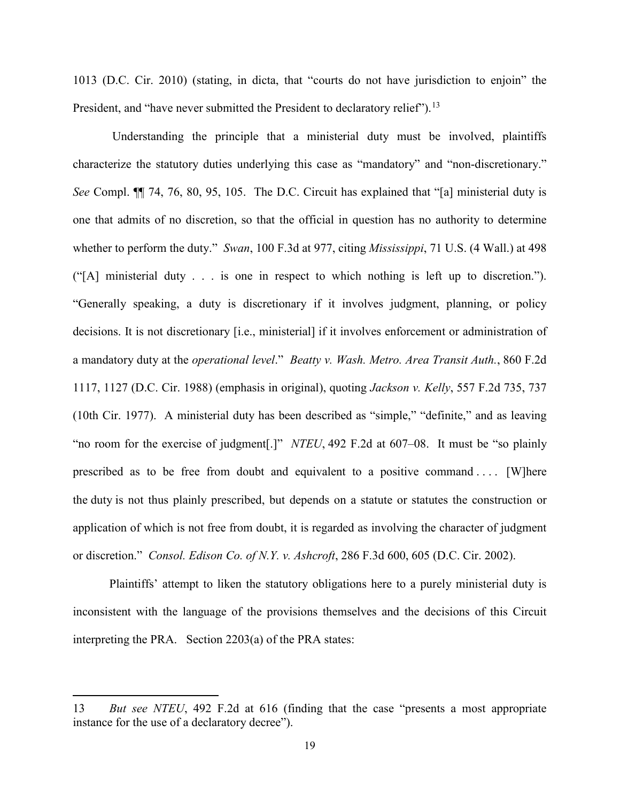1013 (D.C. Cir. 2010) (stating, in dicta, that "courts do not have jurisdiction to enjoin" the President, and "have never submitted the President to declaratory relief").<sup>[13](#page-18-0)</sup>

Understanding the principle that a ministerial duty must be involved, plaintiffs characterize the statutory duties underlying this case as "mandatory" and "non-discretionary." *See* Compl. ¶¶ 74, 76, 80, 95, 105. The D.C. Circuit has explained that "[a] ministerial duty is one that admits of no discretion, so that the official in question has no authority to determine whether to perform the duty." *Swan*, 100 F.3d at 977, citing *Mississippi*, 71 U.S. (4 Wall.) at 498 ("[A] ministerial duty . . . is one in respect to which nothing is left up to discretion."). "Generally speaking, a duty is discretionary if it involves judgment, planning, or policy decisions. It is not discretionary [i.e., ministerial] if it involves enforcement or administration of a mandatory duty at the *operational level*." *Beatty v. Wash. Metro. Area Transit Auth.*, 860 F.2d 1117, 1127 (D.C. Cir. 1988) (emphasis in original), quoting *Jackson v. Kelly*, 557 F.2d 735, 737 (10th Cir. 1977). A ministerial duty has been described as "simple," "definite," and as leaving "no room for the exercise of judgment<sup>[1]"</sup> *NTEU*, 492 F.2d at 607–08. It must be "so plainly prescribed as to be free from doubt and equivalent to a positive command . . . . [W]here the duty is not thus plainly prescribed, but depends on a statute or statutes the construction or application of which is not free from doubt, it is regarded as involving the character of judgment or discretion." *Consol. Edison Co. of N.Y. v. Ashcroft*, 286 F.3d 600, 605 (D.C. Cir. 2002).

Plaintiffs' attempt to liken the statutory obligations here to a purely ministerial duty is inconsistent with the language of the provisions themselves and the decisions of this Circuit interpreting the PRA. Section 2203(a) of the PRA states:

<span id="page-18-0"></span><sup>13</sup> *But see NTEU*, 492 F.2d at 616 (finding that the case "presents a most appropriate instance for the use of a declaratory decree").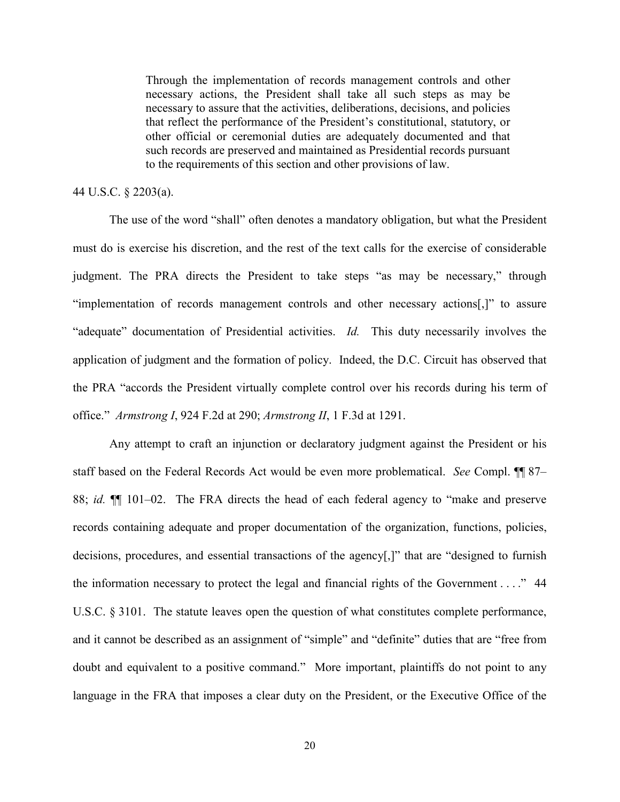Through the implementation of records management controls and other necessary actions, the President shall take all such steps as may be necessary to assure that the activities, deliberations, decisions, and policies that reflect the performance of the President's constitutional, statutory, or other official or ceremonial duties are adequately documented and that such records are preserved and maintained as Presidential records pursuant to the requirements of this section and other provisions of law.

# 44 U.S.C. § 2203(a).

The use of the word "shall" often denotes a mandatory obligation, but what the President must do is exercise his discretion, and the rest of the text calls for the exercise of considerable judgment. The PRA directs the President to take steps "as may be necessary," through "implementation of records management controls and other necessary actions[,]" to assure "adequate" documentation of Presidential activities. *Id.* This duty necessarily involves the application of judgment and the formation of policy. Indeed, the D.C. Circuit has observed that the PRA "accords the President virtually complete control over his records during his term of office." *Armstrong I*, 924 F.2d at 290; *Armstrong II*, 1 F.3d at 1291.

Any attempt to craft an injunction or declaratory judgment against the President or his staff based on the Federal Records Act would be even more problematical. *See* Compl. ¶¶ 87– 88; *id.* ¶¶ 101–02. The FRA directs the head of each federal agency to "make and preserve records containing adequate and proper documentation of the organization, functions, policies, decisions, procedures, and essential transactions of the agency[,]" that are "designed to furnish the information necessary to protect the legal and financial rights of the Government . . . ." 44 U.S.C. § 3101. The statute leaves open the question of what constitutes complete performance, and it cannot be described as an assignment of "simple" and "definite" duties that are "free from doubt and equivalent to a positive command." More important, plaintiffs do not point to any language in the FRA that imposes a clear duty on the President, or the Executive Office of the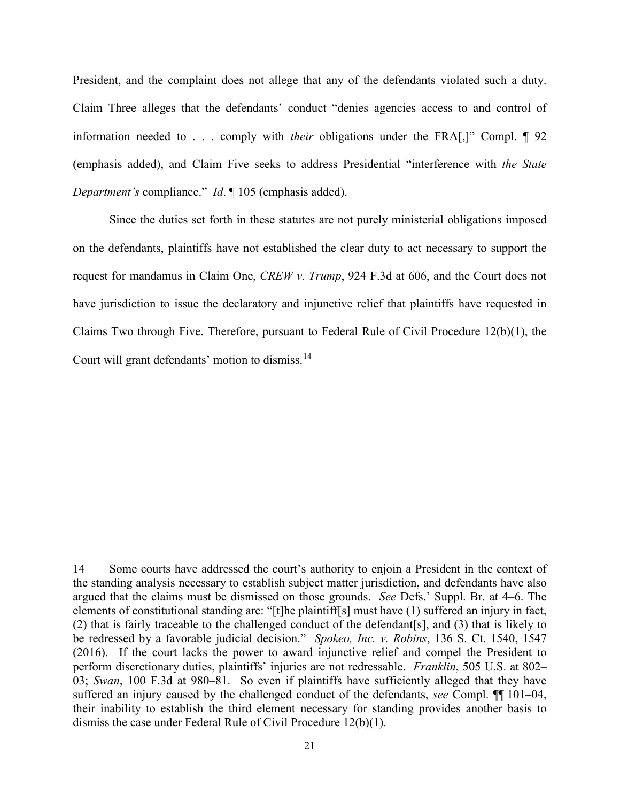President, and the complaint does not allege that any of the defendants violated such a duty. Claim Three alleges that the defendants' conduct "denies agencies access to and control of information needed to . . . comply with *their* obligations under the FRA[,]" Compl. ¶ 92 (emphasis added), and Claim Five seeks to address Presidential "interference with *the State Department's* compliance." *Id*. ¶ 105 (emphasis added).

Since the duties set forth in these statutes are not purely ministerial obligations imposed on the defendants, plaintiffs have not established the clear duty to act necessary to support the request for mandamus in Claim One, *CREW v. Trump*, 924 F.3d at 606, and the Court does not have jurisdiction to issue the declaratory and injunctive relief that plaintiffs have requested in Claims Two through Five. Therefore, pursuant to Federal Rule of Civil Procedure 12(b)(1), the Court will grant defendants' motion to dismiss.[14](#page-20-0) 

<span id="page-20-0"></span><sup>14</sup> Some courts have addressed the court's authority to enjoin a President in the context of the standing analysis necessary to establish subject matter jurisdiction, and defendants have also argued that the claims must be dismissed on those grounds. *See* Defs.' Suppl. Br. at 4–6. The elements of constitutional standing are: "[t]he plaintiff[s] must have (1) suffered an injury in fact, (2) that is fairly traceable to the challenged conduct of the defendant[s], and (3) that is likely to be redressed by a favorable judicial decision." *Spokeo, Inc. v. Robins*, 136 S. Ct. 1540, 1547 (2016). If the court lacks the power to award injunctive relief and compel the President to perform discretionary duties, plaintiffs' injuries are not redressable. *Franklin*, 505 U.S. at 802– 03; *Swan*, 100 F.3d at 980–81. So even if plaintiffs have sufficiently alleged that they have suffered an injury caused by the challenged conduct of the defendants, *see* Compl. ¶¶ 101–04, their inability to establish the third element necessary for standing provides another basis to dismiss the case under Federal Rule of Civil Procedure 12(b)(1).